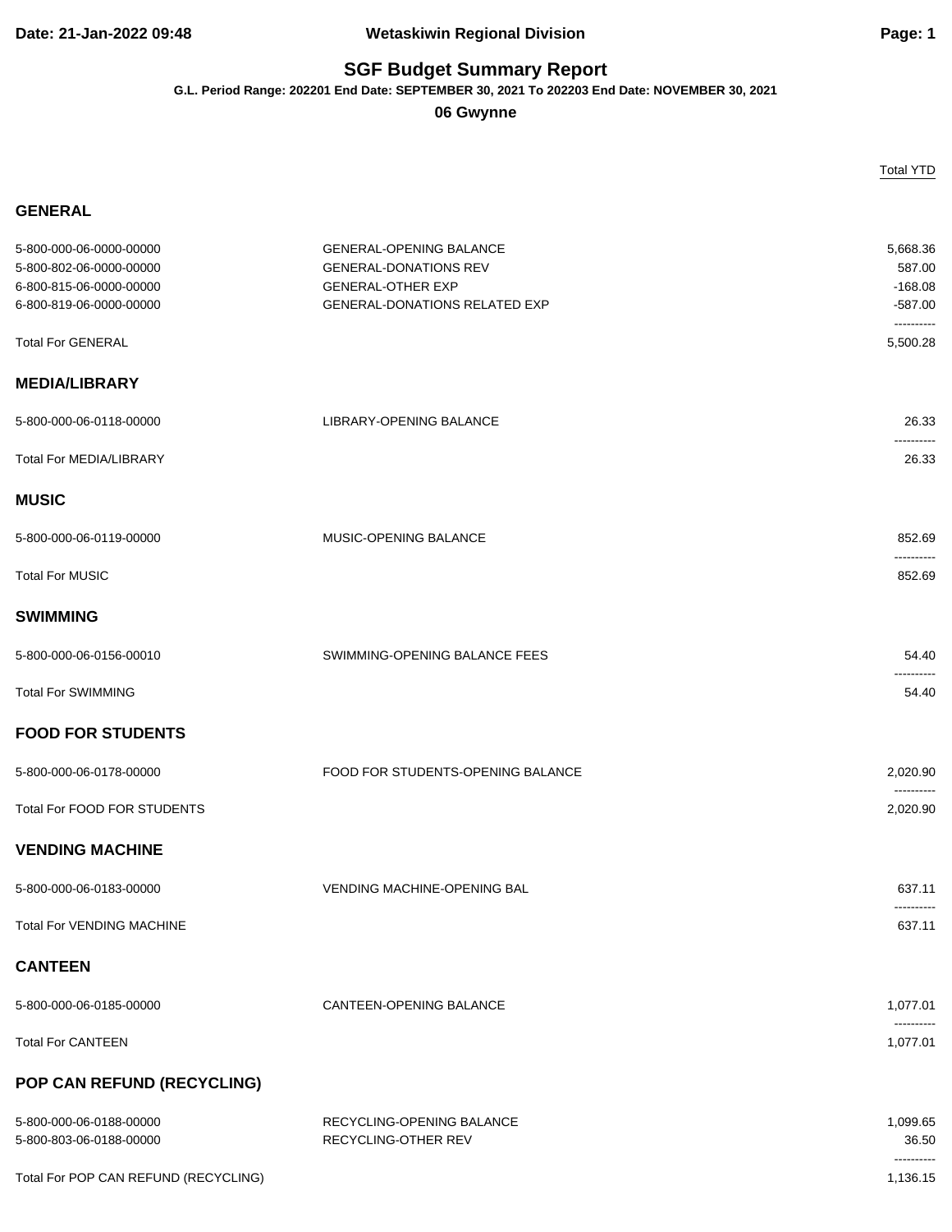## **Date: 21-Jan-2022 09:48 Wetaskiwin Regional Division Page: 1**

## **SGF Budget Summary Report**

**G.L. Period Range: 202201 End Date: SEPTEMBER 30, 2021 To 202203 End Date: NOVEMBER 30, 2021**

**06 Gwynne**

|                                                                               |                                                                                            | <b>Total YTD</b>                |
|-------------------------------------------------------------------------------|--------------------------------------------------------------------------------------------|---------------------------------|
| <b>GENERAL</b>                                                                |                                                                                            |                                 |
| 5-800-000-06-0000-00000<br>5-800-802-06-0000-00000<br>6-800-815-06-0000-00000 | <b>GENERAL-OPENING BALANCE</b><br><b>GENERAL-DONATIONS REV</b><br><b>GENERAL-OTHER EXP</b> | 5,668.36<br>587.00<br>$-168.08$ |
| 6-800-819-06-0000-00000                                                       | <b>GENERAL-DONATIONS RELATED EXP</b>                                                       | $-587.00$<br>----------         |
| <b>Total For GENERAL</b>                                                      |                                                                                            | 5.500.28                        |
| <b>MEDIA/LIBRARY</b>                                                          |                                                                                            |                                 |
| 5-800-000-06-0118-00000                                                       | LIBRARY-OPENING BALANCE                                                                    | 26.33<br>----------             |
| <b>Total For MEDIA/LIBRARY</b>                                                |                                                                                            | 26.33                           |
| <b>MUSIC</b>                                                                  |                                                                                            |                                 |
| 5-800-000-06-0119-00000                                                       | MUSIC-OPENING BALANCE                                                                      | 852.69<br>----------            |
| <b>Total For MUSIC</b>                                                        |                                                                                            | 852.69                          |
| <b>SWIMMING</b>                                                               |                                                                                            |                                 |
| 5-800-000-06-0156-00010                                                       | SWIMMING-OPENING BALANCE FEES                                                              | 54.40                           |
| <b>Total For SWIMMING</b>                                                     |                                                                                            | 54.40                           |
| <b>FOOD FOR STUDENTS</b>                                                      |                                                                                            |                                 |
| 5-800-000-06-0178-00000                                                       | FOOD FOR STUDENTS-OPENING BALANCE                                                          | 2,020.90                        |
| <b>Total For FOOD FOR STUDENTS</b>                                            |                                                                                            | 2,020.90                        |
| <b>VENDING MACHINE</b>                                                        |                                                                                            |                                 |
| 5-800-000-06-0183-00000                                                       | <b>VENDING MACHINE-OPENING BAL</b>                                                         | 637.11<br>.                     |
| <b>Total For VENDING MACHINE</b>                                              |                                                                                            | 637.11                          |
| <b>CANTEEN</b>                                                                |                                                                                            |                                 |
| 5-800-000-06-0185-00000                                                       | CANTEEN-OPENING BALANCE                                                                    | 1,077.01                        |
| <b>Total For CANTEEN</b>                                                      |                                                                                            | 1,077.01                        |
| POP CAN REFUND (RECYCLING)                                                    |                                                                                            |                                 |
| 5-800-000-06-0188-00000<br>5-800-803-06-0188-00000                            | RECYCLING-OPENING BALANCE<br>RECYCLING-OTHER REV                                           | 1,099.65<br>36.50               |
| Total For POP CAN REFUND (RECYCLING)                                          |                                                                                            | ----------<br>1,136.15          |